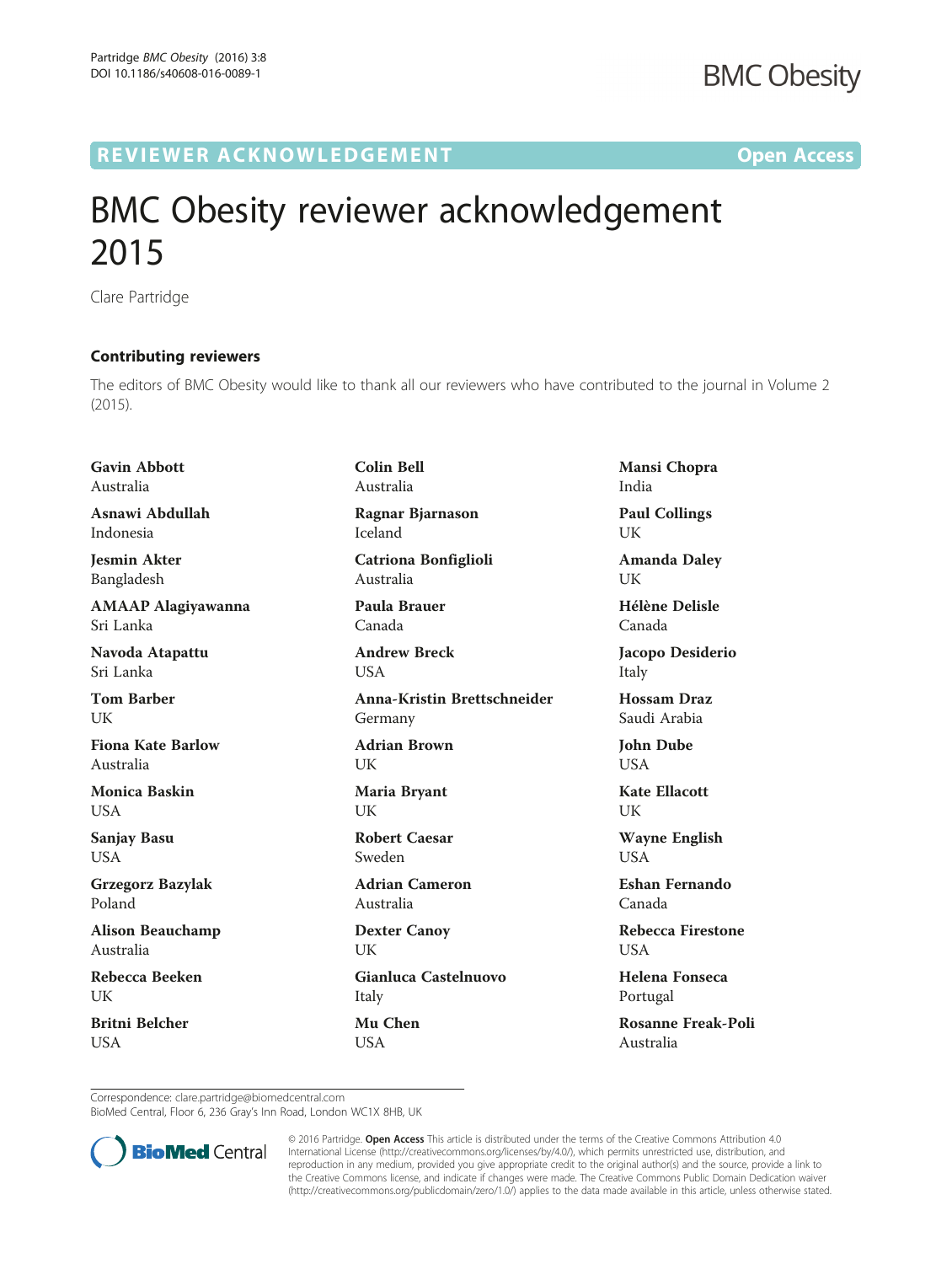## R EVI EW E R ACKNOW L EDG EM EN T Open Access

## BMC Obesity reviewer acknowledgement 2015

Clare Partridge

## Contributing reviewers

The editors of BMC Obesity would like to thank all our reviewers who have contributed to the journal in Volume 2 (2015).

Gavin Abbott Australia

Asnawi Abdullah Indonesia

Jesmin Akter Bangladesh

AMAAP Alagiyawanna Sri Lanka

Navoda Atapattu Sri Lanka

Tom Barber UK

Fiona Kate Barlow Australia

Monica Baskin USA

Sanjay Basu USA

Grzegorz Bazylak Poland

Alison Beauchamp Australia

Rebecca Beeken **I** IK

Britni Belcher **USA** 

Colin Bell Australia Ragnar Bjarnason

Iceland

Catriona Bonfiglioli Australia

Paula Brauer Canada

Andrew Breck **USA** 

Anna-Kristin Brettschneider Germany

Adrian Brown UK

Maria Bryant UK

Robert Caesar Sweden

Adrian Cameron Australia

Dexter Canoy UK

Gianluca Castelnuovo Italy Mu Chen **USA** 

Mansi Chopra India Paul Collings UK

Amanda Daley UK

Hélène Delisle Canada

Jacopo Desiderio Italy

Hossam Draz Saudi Arabia

John Dube **USA** 

Kate Ellacott **I** IK

Wayne English USA

Eshan Fernando Canada

Rebecca Firestone **USA** 

Helena Fonseca Portugal

Rosanne Freak-Poli Australia

Correspondence: [clare.partridge@biomedcentral.com](mailto:clare.partridge@biomedcentral.com)

BioMed Central, Floor 6, 236 Gray's Inn Road, London WC1X 8HB, UK



© 2016 Partridge. Open Access This article is distributed under the terms of the Creative Commons Attribution 4.0 International License [\(http://creativecommons.org/licenses/by/4.0/](http://creativecommons.org/licenses/by/4.0/)), which permits unrestricted use, distribution, and reproduction in any medium, provided you give appropriate credit to the original author(s) and the source, provide a link to the Creative Commons license, and indicate if changes were made. The Creative Commons Public Domain Dedication waiver [\(http://creativecommons.org/publicdomain/zero/1.0/](http://creativecommons.org/publicdomain/zero/1.0/)) applies to the data made available in this article, unless otherwise stated.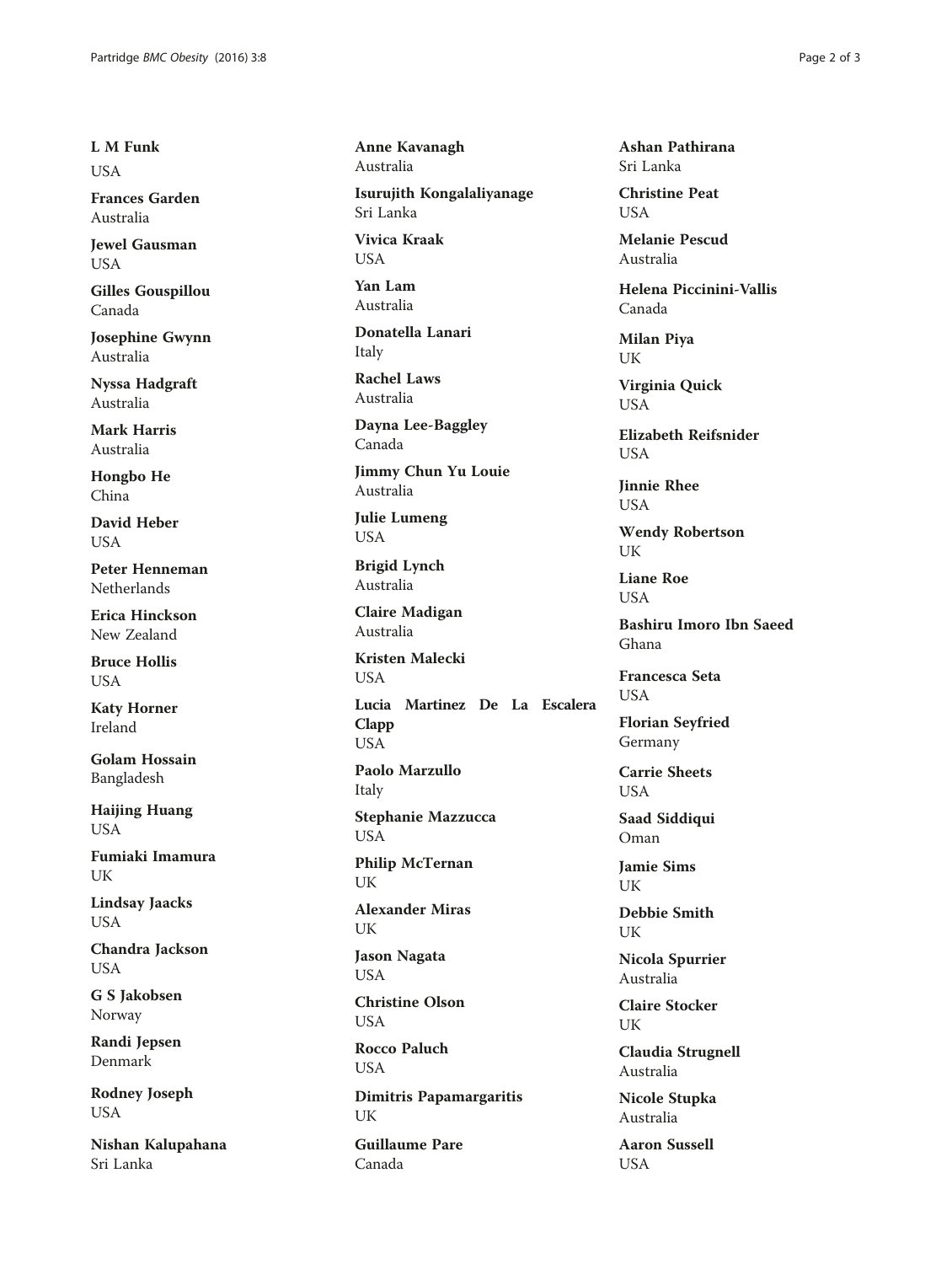L M Funk **USA** 

Frances Garden Australia

Jewel Gausman USA

Gilles Gouspillou Canada

Josephine Gwynn Australia

Nyssa Hadgraft Australia

Mark Harris Australia

Hongbo He China

David Heber USA

Peter Henneman Netherlands

Erica Hinckson New Zealand

Bruce Hollis **USA** 

Katy Horner Ireland

Golam Hossain Bangladesh

Haijing Huang USA

Fumiaki Imamura UK

Lindsay Jaacks USA

Chandra Jackson USA

G S Jakobsen Norway

Randi Jepsen Denmark

Rodney Joseph USA

Nishan Kalupahana Sri Lanka

Anne Kavanagh Australia Isurujith Kongalaliyanage

Sri Lanka

Vivica Kraak **USA** 

Yan Lam Australia

Donatella Lanari Italy

Rachel Laws Australia

Dayna Lee-Baggley Canada

Jimmy Chun Yu Louie Australia

Julie Lumeng USA

Brigid Lynch Australia

Claire Madigan Australia

Kristen Malecki USA

Lucia Martinez De La Escalera Clapp USA

Paolo Marzullo Italy

Stephanie Mazzucca USA

Philip McTernan UK

Alexander Miras UK

Jason Nagata USA

Christine Olson **USA** 

Rocco Paluch USA

Dimitris Papamargaritis UK

Guillaume Pare Canada

Ashan Pathirana Sri Lanka

Christine Peat **USA** 

Melanie Pescud Australia

Helena Piccinini-Vallis Canada

Milan Piya UK

Virginia Quick USA

Elizabeth Reifsnider **USA** 

Jinnie Rhee USA

Wendy Robertson UK

Liane Roe **USA** 

Bashiru Imoro Ibn Saeed Ghana

Francesca Seta USA

Florian Seyfried Germany

Carrie Sheets USA

Saad Siddiqui Oman

Jamie Sims UK

Debbie Smith UK

Nicola Spurrier Australia

Claire Stocker UK

Claudia Strugnell Australia

Nicole Stupka Australia

Aaron Sussell USA